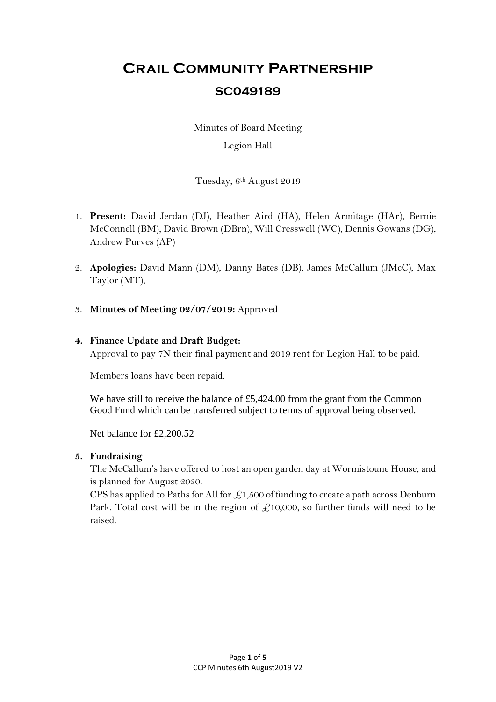# **Crail Community Partnership SC049189**

Minutes of Board Meeting

# Legion Hall

Tuesday, 6<sup>th</sup> August 2019

- 1. **Present:** David Jerdan (DJ), Heather Aird (HA), Helen Armitage (HAr), Bernie McConnell (BM), David Brown (DBrn), Will Cresswell (WC), Dennis Gowans (DG), Andrew Purves (AP)
- 2. **Apologies:** David Mann (DM), Danny Bates (DB), James McCallum (JMcC), Max Taylor (MT),
- 3. **Minutes of Meeting 02/07/2019:** Approved

# **4. Finance Update and Draft Budget:**

Approval to pay 7N their final payment and 2019 rent for Legion Hall to be paid.

Members loans have been repaid.

We have still to receive the balance of £5,424.00 from the grant from the Common Good Fund which can be transferred subject to terms of approval being observed.

Net balance for £2,200.52

#### **5. Fundraising**

The McCallum's have offered to host an open garden day at Wormistoune House, and is planned for August 2020.

CPS has applied to Paths for All for  $\mathcal{L}1,500$  of funding to create a path across Denburn Park. Total cost will be in the region of  $\mathcal{L}10,000$ , so further funds will need to be raised.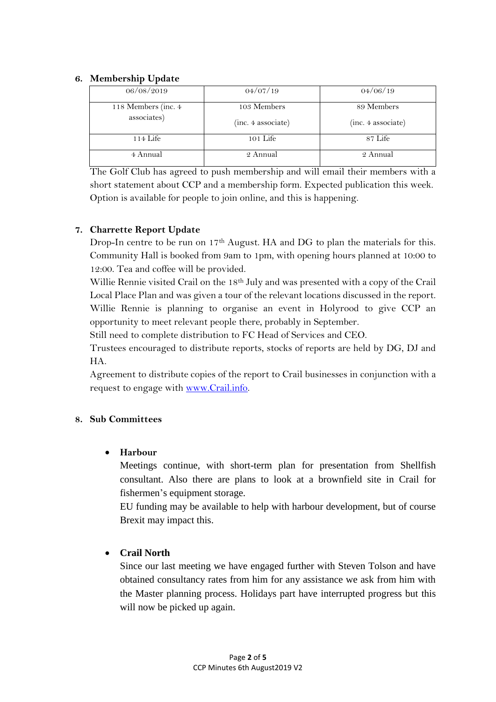#### **6. Membership Update**

| 06/08/2019          | 04/07/19           | 04/06/19           |
|---------------------|--------------------|--------------------|
| 118 Members (inc. 4 | 103 Members        | 89 Members         |
| associates)         | (inc. 4 associate) | (inc. 4 associate) |
| $114$ Life          | $101$ Life         | 87 Life            |
| 4 Annual            | 2 Annual           | 2 Annual           |

The Golf Club has agreed to push membership and will email their members with a short statement about CCP and a membership form. Expected publication this week. Option is available for people to join online, and this is happening.

# **7. Charrette Report Update**

Drop-In centre to be run on 17<sup>th</sup> August. HA and DG to plan the materials for this. Community Hall is booked from 9am to 1pm, with opening hours planned at 10:00 to 12:00. Tea and coffee will be provided.

Willie Rennie visited Crail on the 18<sup>th</sup> July and was presented with a copy of the Crail Local Place Plan and was given a tour of the relevant locations discussed in the report. Willie Rennie is planning to organise an event in Holyrood to give CCP an opportunity to meet relevant people there, probably in September.

Still need to complete distribution to FC Head of Services and CEO.

Trustees encouraged to distribute reports, stocks of reports are held by DG, DJ and HA.

Agreement to distribute copies of the report to Crail businesses in conjunction with a request to engage with [www.Crail.info.](http://www.crail.info/) 

#### **8. Sub Committees**

# **Harbour**

Meetings continue, with short-term plan for presentation from Shellfish consultant. Also there are plans to look at a brownfield site in Crail for fishermen's equipment storage.

EU funding may be available to help with harbour development, but of course Brexit may impact this.

# **Crail North**

Since our last meeting we have engaged further with Steven Tolson and have obtained consultancy rates from him for any assistance we ask from him with the Master planning process. Holidays part have interrupted progress but this will now be picked up again.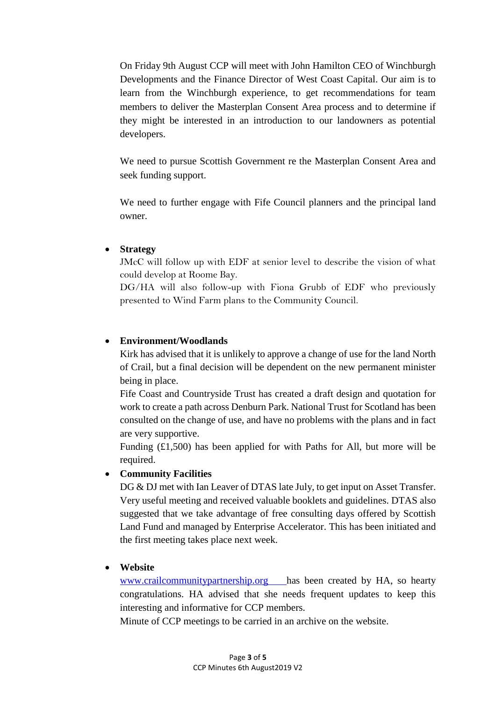On Friday 9th August CCP will meet with John Hamilton CEO of Winchburgh Developments and the Finance Director of West Coast Capital. Our aim is to learn from the Winchburgh experience, to get recommendations for team members to deliver the Masterplan Consent Area process and to determine if they might be interested in an introduction to our landowners as potential developers.

We need to pursue Scottish Government re the Masterplan Consent Area and seek funding support.

We need to further engage with Fife Council planners and the principal land owner.

#### **Strategy**

JMcC will follow up with EDF at senior level to describe the vision of what could develop at Roome Bay.

DG/HA will also follow-up with Fiona Grubb of EDF who previously presented to Wind Farm plans to the Community Council.

# **Environment/Woodlands**

Kirk has advised that it is unlikely to approve a change of use for the land North of Crail, but a final decision will be dependent on the new permanent minister being in place.

Fife Coast and Countryside Trust has created a draft design and quotation for work to create a path across Denburn Park. National Trust for Scotland has been consulted on the change of use, and have no problems with the plans and in fact are very supportive.

Funding  $(£1,500)$  has been applied for with Paths for All, but more will be required.

# **Community Facilities**

DG & DJ met with Ian Leaver of DTAS late July, to get input on Asset Transfer. Very useful meeting and received valuable booklets and guidelines. DTAS also suggested that we take advantage of free consulting days offered by Scottish Land Fund and managed by Enterprise Accelerator. This has been initiated and the first meeting takes place next week.

#### **Website**

[www.crailcommunitypartnership.org](http://www.crailcommunitypartnership.org/) has been created by HA, so hearty congratulations. HA advised that she needs frequent updates to keep this interesting and informative for CCP members.

Minute of CCP meetings to be carried in an archive on the website.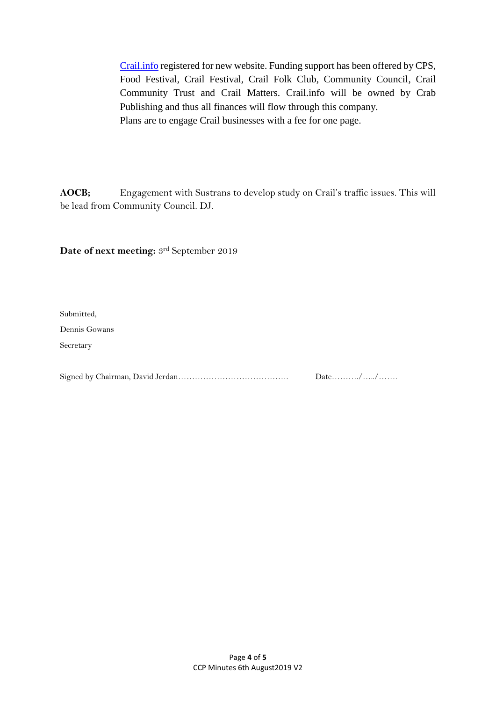[Crail.info](http://crail.info/) registered for new website. Funding support has been offered by CPS, Food Festival, Crail Festival, Crail Folk Club, Community Council, Crail Community Trust and Crail Matters. Crail.info will be owned by Crab Publishing and thus all finances will flow through this company. Plans are to engage Crail businesses with a fee for one page.

**AOCB;** Engagement with Sustrans to develop study on Crail's traffic issues. This will be lead from Community Council. DJ.

**Date of next meeting:** 3rd September 2019

Submitted,

Dennis Gowans

Secretary

Signed by Chairman, David Jerdan…………………………………. Date………./…../…….